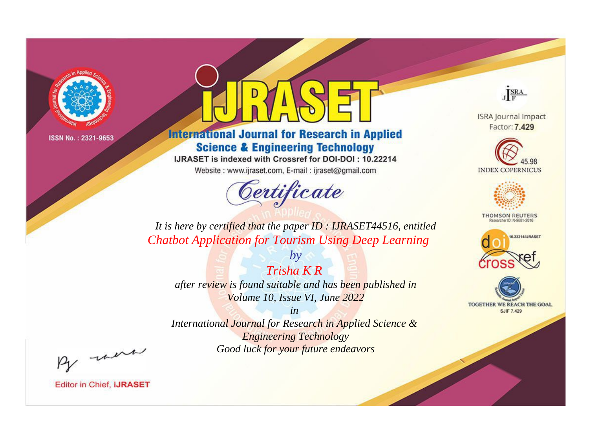

# **International Journal for Research in Applied Science & Engineering Technology**

IJRASET is indexed with Crossref for DOI-DOI: 10.22214

Website: www.ijraset.com, E-mail: ijraset@gmail.com



JERA

**ISRA Journal Impact** Factor: 7.429





**THOMSON REUTERS** 



TOGETHER WE REACH THE GOAL **SJIF 7.429** 

*It is here by certified that the paper ID : IJRASET44516, entitled Chatbot Application for Tourism Using Deep Learning*

*Trisha K R after review is found suitable and has been published in Volume 10, Issue VI, June 2022*

*by*

*in* 

*International Journal for Research in Applied Science & Engineering Technology Good luck for your future endeavors*

By morn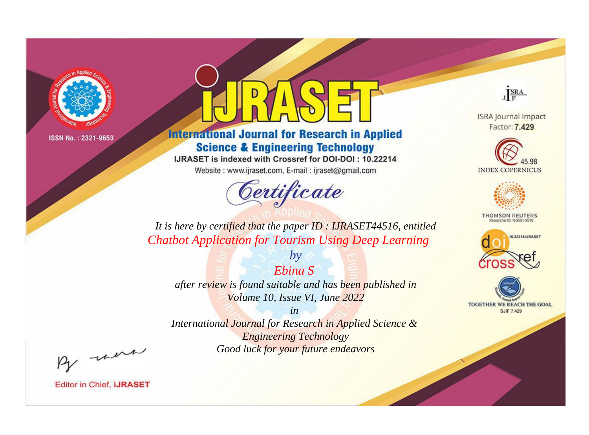

# **International Journal for Research in Applied Science & Engineering Technology**

IJRASET is indexed with Crossref for DOI-DOI: 10.22214

Website: www.ijraset.com, E-mail: ijraset@gmail.com



JERA

**ISRA Journal Impact** Factor: 7.429





**THOMSON REUTERS** 



TOGETHER WE REACH THE GOAL **SJIF 7.429** 

It is here by certified that the paper ID: IJRASET44516, entitled **Chatbot Application for Tourism Using Deep Learning** 

Ebina S after review is found suitable and has been published in Volume 10, Issue VI, June 2022

 $by$ 

 $in$ International Journal for Research in Applied Science & **Engineering Technology** Good luck for your future endeavors

By morn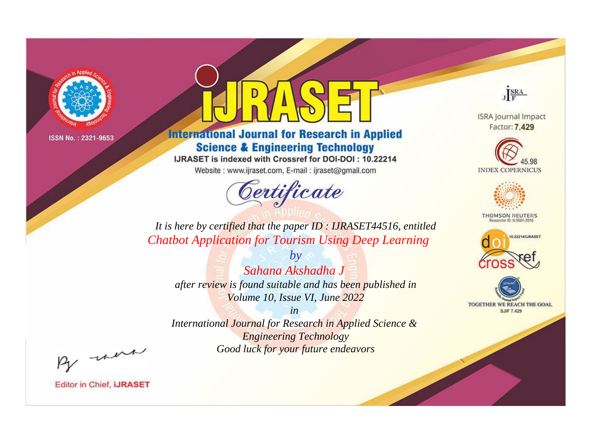

# **International Journal for Research in Applied Science & Engineering Technology**

IJRASET is indexed with Crossref for DOI-DOI: 10.22214

Website: www.ijraset.com, E-mail: ijraset@gmail.com



JERA

**ISRA Journal Impact** Factor: 7.429





**THOMSON REUTERS** 



TOGETHER WE REACH THE GOAL **SJIF 7.429** 

*It is here by certified that the paper ID : IJRASET44516, entitled Chatbot Application for Tourism Using Deep Learning*

*Sahana Akshadha J after review is found suitable and has been published in Volume 10, Issue VI, June 2022*

*by*

*in International Journal for Research in Applied Science &* 

*Engineering Technology Good luck for your future endeavors*

By morn